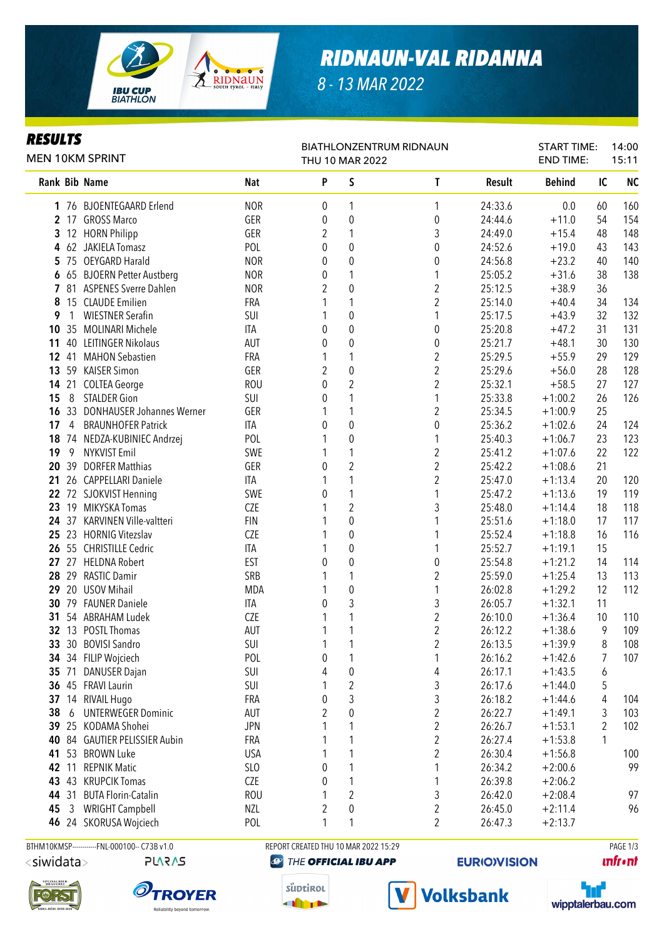

# *RIDNAUN-VAL RIDANNA*

*8 - 13 MAR 2022*

#### *RESULTS*

| MEN 10KM SPRINT |                |                                  |            |                    | <b>BIATHLONZENTRUM RIDNAUN</b><br>THU 10 MAR 2022 |                  |         |               | START TIME:<br><b>END TIME:</b> | 14:00<br>15:11 |  |
|-----------------|----------------|----------------------------------|------------|--------------------|---------------------------------------------------|------------------|---------|---------------|---------------------------------|----------------|--|
|                 |                | Rank Bib Name                    | Nat        | $\pmb{\mathsf{P}}$ | S                                                 | T                | Result  | <b>Behind</b> | IC                              | <b>NC</b>      |  |
|                 |                | 1 76 BJOENTEGAARD Erlend         | <b>NOR</b> | 0                  | 1                                                 | 1                | 24:33.6 | 0.0           | 60                              | 160            |  |
|                 |                | 2 17 GROSS Marco                 | GER        | 0                  | $\boldsymbol{0}$                                  | $\boldsymbol{0}$ | 24:44.6 | $+11.0$       | 54                              | 154            |  |
|                 |                | 3 12 HORN Philipp                | GER        | 2                  | 1                                                 | 3                | 24:49.0 | $+15.4$       | 48                              | 148            |  |
|                 |                | 4 62 JAKIELA Tomasz              | POL        | 0                  | $\boldsymbol{0}$                                  | $\boldsymbol{0}$ | 24:52.6 | $+19.0$       | 43                              | 143            |  |
|                 |                | 5 75 OEYGARD Harald              | <b>NOR</b> | 0                  | $\boldsymbol{0}$                                  | $\boldsymbol{0}$ | 24:56.8 | $+23.2$       | 40                              | 140            |  |
|                 |                | 6 65 BJOERN Petter Austberg      | <b>NOR</b> | 0                  | 1                                                 | 1                | 25:05.2 | $+31.6$       | 38                              | 138            |  |
|                 |                | 7 81 ASPENES Sverre Dahlen       | <b>NOR</b> | $\overline{2}$     | 0                                                 | $\overline{c}$   | 25:12.5 | $+38.9$       | 36                              |                |  |
| 8               |                | 15 CLAUDE Emilien                | FRA        |                    | 1                                                 | $\overline{c}$   | 25:14.0 | $+40.4$       | 34                              | 134            |  |
| 9               | $\mathbf{1}$   | <b>WIESTNER Serafin</b>          | SUI        | 1                  | 0                                                 | 1                | 25:17.5 | $+43.9$       | 32                              | 132            |  |
|                 |                | 10 35 MOLINARI Michele           | <b>ITA</b> | 0                  | $\boldsymbol{0}$                                  | $\pmb{0}$        | 25:20.8 | $+47.2$       | 31                              | 131            |  |
|                 |                | 11 40 LEITINGER Nikolaus         | <b>AUT</b> | 0                  | 0                                                 | $\boldsymbol{0}$ | 25:21.7 | $+48.1$       | 30                              | 130            |  |
|                 | 12 41          | <b>MAHON Sebastien</b>           | FRA        | 1                  | 1                                                 | $\overline{c}$   | 25:29.5 | $+55.9$       | 29                              | 129            |  |
|                 |                | 13 59 KAISER Simon               | GER        | $\overline{2}$     | $\pmb{0}$                                         | $\overline{c}$   | 25:29.6 | $+56.0$       | 28                              | 128            |  |
|                 |                | 14 21 COLTEA George              | <b>ROU</b> | 0                  | $\overline{c}$                                    | $\overline{c}$   | 25:32.1 | $+58.5$       | 27                              | 127            |  |
| 15              | 8              | <b>STALDER Gion</b>              | SUI        | 0                  | 1                                                 | 1                | 25:33.8 | $+1:00.2$     | 26                              | 126            |  |
| 16              | 33             | <b>DONHAUSER Johannes Werner</b> | GER        |                    | 1                                                 | $\overline{c}$   | 25:34.5 | $+1:00.9$     | 25                              |                |  |
| 17              | $\overline{4}$ | <b>BRAUNHOFER Patrick</b>        | ITA        | 0                  | $\pmb{0}$                                         | $\boldsymbol{0}$ | 25:36.2 | $+1:02.6$     | 24                              | 124            |  |
| 18              |                | 74 NEDZA-KUBINIEC Andrzej        | POL        |                    | $\mathbf 0$                                       | 1                | 25:40.3 | $+1:06.7$     | 23                              | 123            |  |
| 19              | 9              | <b>NYKVIST Emil</b>              | SWE        | 1                  | 1                                                 | $\overline{c}$   | 25:41.2 | $+1:07.6$     | 22                              | 122            |  |
|                 | 20 39          | <b>DORFER Matthias</b>           | GER        | 0                  | $\overline{2}$                                    | $\overline{2}$   | 25:42.2 | $+1:08.6$     | 21                              |                |  |
| 21              |                | 26 CAPPELLARI Daniele            | <b>ITA</b> |                    | 1                                                 | $\overline{2}$   | 25:47.0 | $+1:13.4$     | 20                              | 120            |  |
|                 |                | 22 72 SJOKVIST Henning           | SWE        | 0                  | 1                                                 | 1                | 25:47.2 | $+1:13.6$     | 19                              | 119            |  |
|                 |                | 23 19 MIKYSKA Tomas              | CZE        |                    | $\overline{2}$                                    | 3                | 25:48.0 | $+1:14.4$     | 18                              | 118            |  |
|                 |                | 24 37 KARVINEN Ville-valtteri    | <b>FIN</b> |                    | 0                                                 | 1                | 25:51.6 | $+1:18.0$     | 17                              | 117            |  |
|                 |                | 25 23 HORNIG Vitezslav           | CZE        |                    | $\boldsymbol{0}$                                  |                  | 25:52.4 | $+1:18.8$     | 16                              | 116            |  |
|                 |                | 26 55 CHRISTILLE Cedric          | <b>ITA</b> |                    | 0                                                 | 1                | 25:52.7 | $+1:19.1$     | 15                              |                |  |
|                 |                | 27 27 HELDNA Robert              | <b>EST</b> | 0                  | 0                                                 | $\boldsymbol{0}$ | 25:54.8 | $+1:21.2$     | 14                              | 114            |  |
|                 |                | 28 29 RASTIC Damir               | SRB        |                    | 1                                                 | $\overline{2}$   | 25:59.0 | $+1:25.4$     | 13                              | 113            |  |
|                 |                | 29 20 USOV Mihail                | <b>MDA</b> | 1                  | 0                                                 | 1                | 26:02.8 | $+1:29.2$     | 12                              | 112            |  |
|                 |                | 30 79 FAUNER Daniele             | <b>ITA</b> | 0                  | 3                                                 | 3                | 26:05.7 | $+1:32.1$     | 11                              |                |  |
| 31              |                | 54 ABRAHAM Ludek                 | CZE        |                    | 1                                                 | $\boldsymbol{2}$ | 26:10.0 | $+1:36.4$     | 10                              | 110            |  |
|                 |                | 32 13 POSTL Thomas               | <b>AUT</b> |                    | 1                                                 | $\overline{2}$   | 26:12.2 | $+1:38.6$     | 9                               | 109            |  |
|                 |                | 33 30 BOVISI Sandro              | SUI        | 1                  | 1                                                 | $\boldsymbol{2}$ | 26:13.5 | $+1:39.9$     | 8                               | 108            |  |
|                 |                | 34 34 FILIP Wojciech             | POL        | 0                  | 1                                                 | 1                | 26:16.2 | $+1:42.6$     | 7                               | 107            |  |
|                 | 35 71          | <b>DANUSER Dajan</b>             | SUI        | 4                  | 0                                                 | 4                | 26:17.1 | $+1:43.5$     | 6                               |                |  |
|                 |                | 36 45 FRAVI Laurin               | SUI        | 1                  | $\overline{\mathbf{c}}$                           | 3                | 26:17.6 | $+1:44.0$     | 5                               |                |  |
| 37              |                | 14 RIVAIL Hugo                   | <b>FRA</b> | 0                  | 3                                                 | 3                | 26:18.2 | $+1:44.6$     | 4                               | 104            |  |
| 38              | 6              | <b>UNTERWEGER Dominic</b>        | <b>AUT</b> | $\overline{2}$     | $\pmb{0}$                                         | $\overline{2}$   | 26:22.7 | $+1:49.1$     | 3                               | 103            |  |
| 39              | 25             | KODAMA Shohei                    | <b>JPN</b> |                    | 1                                                 | $\overline{c}$   | 26:26.7 | $+1:53.1$     | 2                               | 102            |  |
| 40              | 84             | <b>GAUTIER PELISSIER Aubin</b>   | FRA        | 1                  | 1                                                 | $\overline{2}$   | 26:27.4 | $+1:53.8$     | 1                               |                |  |
| 41              | 53             | <b>BROWN Luke</b>                | <b>USA</b> |                    | 1                                                 | $\overline{2}$   | 26:30.4 | $+1:56.8$     |                                 | 100            |  |
| 42              | 11             | <b>REPNIK Matic</b>              | SLO        | 0                  | 1                                                 | 1                | 26:34.2 | $+2:00.6$     |                                 | 99             |  |
| 43              | 43             | <b>KRUPCIK Tomas</b>             | CZE        | 0                  | 1                                                 | 1                | 26:39.8 | $+2:06.2$     |                                 |                |  |
|                 | 44 31          | <b>BUTA Florin-Catalin</b>       | <b>ROU</b> | 1                  | $\overline{2}$                                    | 3                | 26:42.0 | $+2:08.4$     |                                 | 97             |  |
| 45              | 3              | <b>WRIGHT Campbell</b>           | NZL        | 2                  | 0                                                 | 2                | 26:45.0 | $+2:11.4$     |                                 | 96             |  |
|                 |                | 46 24 SKORUSA Wojciech           | POL        | 1                  | 1                                                 | $\overline{c}$   | 26:47.3 | $+2:13.7$     |                                 |                |  |





<siwidata>



BTHM10KMSP-----------FNL-000100-- C73B v1.0 REPORT CREATED THU 10 MAR 2022 15:29 PAGE 1/3

### **@ THE OFFICIAL IBU APP**





**EURIO)VISION** 



wipptalerbau.com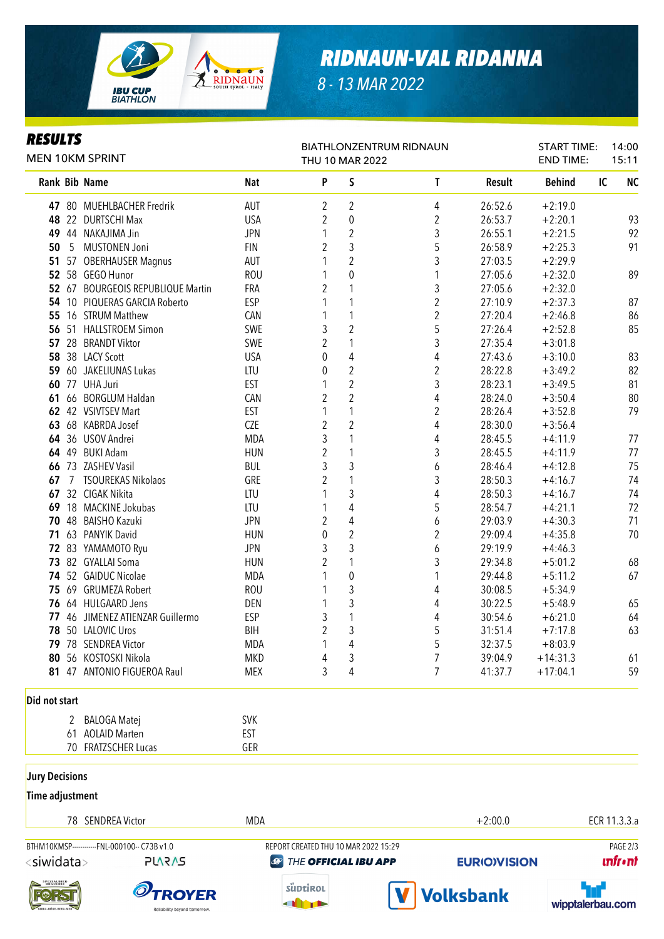

## *RIDNAUN-VAL RIDANNA*

*8 - 13 MAR 2022*

#### *RESULTS*

| <b>MEN 10KM SPRINT</b> |   |                                   |            | BIATHLONZENTRUM RIDNAUN<br>THU 10 MAR 2022 |                         |                |               | <b>START TIME:</b><br><b>END TIME:</b> | 14:00<br>15:11  |
|------------------------|---|-----------------------------------|------------|--------------------------------------------|-------------------------|----------------|---------------|----------------------------------------|-----------------|
|                        |   | Rank Bib Name                     | <b>Nat</b> | P                                          | S                       | T              | <b>Result</b> | <b>Behind</b>                          | IC<br><b>NC</b> |
|                        |   | 47 80 MUEHLBACHER Fredrik         | <b>AUT</b> | 2                                          | $\overline{2}$          | 4              | 26:52.6       | $+2:19.0$                              |                 |
|                        |   | 48 22 DURTSCHI Max                | <b>USA</b> | $\overline{2}$                             | $\boldsymbol{0}$        | $\overline{2}$ | 26:53.7       | $+2:20.1$                              | 93              |
|                        |   | 49 44 NAKAJIMA Jin                | <b>JPN</b> | $\mathbf{1}$                               | $\overline{c}$          | 3              | 26:55.1       | $+2:21.5$                              | 92              |
| 50                     |   | 5 MUSTONEN Joni                   | <b>FIN</b> | $\overline{2}$                             | 3                       | 5              | 26:58.9       | $+2:25.3$                              | 91              |
|                        |   | 51 57 OBERHAUSER Magnus           | <b>AUT</b> | 1                                          | $\overline{2}$          | 3              | 27:03.5       | $+2:29.9$                              |                 |
|                        |   | 52 58 GEGO Hunor                  | <b>ROU</b> | 1                                          | $\mathbf 0$             | 1              | 27:05.6       | $+2:32.0$                              | 89              |
|                        |   | 52 67 BOURGEOIS REPUBLIQUE Martin | FRA        | $\overline{2}$                             | 1                       | 3              | 27:05.6       | $+2:32.0$                              |                 |
|                        |   | 54 10 PIQUERAS GARCIA Roberto     | <b>ESP</b> | 1                                          | 1                       | $\overline{2}$ | 27:10.9       | $+2:37.3$                              | 87              |
|                        |   | 55 16 STRUM Matthew               | CAN        | 1                                          | 1                       | $\overline{2}$ | 27:20.4       | $+2:46.8$                              | 86              |
|                        |   | 56 51 HALLSTROEM Simon            | SWE        | 3                                          | $\overline{2}$          | 5              | 27:26.4       | $+2:52.8$                              | 85              |
|                        |   | 57 28 BRANDT Viktor               | SWE        | $\overline{2}$                             | 1                       | 3              | 27:35.4       | $+3:01.8$                              |                 |
|                        |   | 58 38 LACY Scott                  | <b>USA</b> | 0                                          | 4                       | $\overline{4}$ | 27:43.6       | $+3:10.0$                              | 83              |
|                        |   | 59 60 JAKELIUNAS Lukas            | LTU        | 0                                          | $\overline{2}$          | $\overline{2}$ | 28:22.8       | $+3:49.2$                              | 82              |
|                        |   | <b>60 77 UHA Juri</b>             | EST        | 1                                          | $\overline{2}$          | 3              | 28:23.1       | $+3:49.5$                              | 81              |
|                        |   | 61 66 BORGLUM Haldan              | CAN        | $\overline{2}$                             | $\overline{2}$          | 4              | 28:24.0       | $+3:50.4$                              | 80              |
|                        |   | 62 42 VSIVTSEV Mart               | EST        | 1                                          | 1                       | $\overline{2}$ | 28:26.4       | $+3:52.8$                              | 79              |
|                        |   | 63 68 KABRDA Josef                | CZE        | $\overline{2}$                             | $\overline{2}$          | $\overline{4}$ | 28:30.0       | $+3:56.4$                              |                 |
|                        |   | 64 36 USOV Andrei                 | <b>MDA</b> | 3                                          | 1                       | 4              | 28:45.5       | $+4:11.9$                              | 77              |
|                        |   | 64 49 BUKI Adam                   | <b>HUN</b> | $\overline{2}$                             | 1                       | 3              | 28:45.5       | $+4:11.9$                              | 77              |
|                        |   | 66 73 ZASHEV Vasil                | <b>BUL</b> | 3                                          | 3                       | 6              | 28:46.4       | $+4:12.8$                              | 75              |
|                        |   | 67 7 TSOUREKAS Nikolaos           | GRE        | $\overline{2}$                             | 1                       | 3              | 28:50.3       | $+4:16.7$                              | 74              |
|                        |   | 67 32 CIGAK Nikita                | LTU        | 1                                          | 3                       | 4              | 28:50.3       | $+4:16.7$                              | 74              |
|                        |   | 69 18 MACKINE Jokubas             | LTU        | 1                                          | 4                       | 5              | 28:54.7       | $+4:21.1$                              | 72              |
|                        |   | 70 48 BAISHO Kazuki               | <b>JPN</b> | 2                                          | 4                       | 6              | 29:03.9       | $+4:30.3$                              | 71              |
|                        |   | 71 63 PANYIK David                | <b>HUN</b> | 0                                          | $\overline{\mathbf{c}}$ | $\overline{2}$ | 29:09.4       | $+4:35.8$                              | 70              |
|                        |   | 72 83 YAMAMOTO Ryu                | <b>JPN</b> | 3                                          | 3                       | 6              | 29:19.9       | $+4:46.3$                              |                 |
|                        |   | 73 82 GYALLAI Soma                | <b>HUN</b> | $\overline{2}$                             | 1                       | 3              | 29:34.8       | $+5:01.2$                              | 68              |
|                        |   | 74 52 GAIDUC Nicolae              | <b>MDA</b> | 1                                          | 0                       | 1              | 29:44.8       | $+5:11.2$                              | 67              |
|                        |   | 75 69 GRUMEZA Robert              | <b>ROU</b> | 1                                          | 3                       | 4              | 30:08.5       | $+5:34.9$                              |                 |
|                        |   | 76 64 HULGAARD Jens               | DEN        | 1                                          | 3                       | 4              | 30:22.5       | $+5:48.9$                              | 65              |
|                        |   | 77 46 JIMENEZ ATIENZAR Guillermo  | ESP        | 3                                          | 1                       | 4              | 30:54.6       | $+6:21.0$                              | 64              |
|                        |   | 78 50 LALOVIC Uros                | <b>BIH</b> | $\overline{2}$                             | 3                       | 5              | 31:51.4       | $+7:17.8$                              | 63              |
|                        |   | 79 78 SENDREA Victor              | <b>MDA</b> | 1                                          | 4                       | 5              | 32:37.5       | $+8:03.9$                              |                 |
|                        |   | 80 56 KOSTOSKI Nikola             | <b>MKD</b> | 4                                          | 3                       | $\overline{7}$ | 39:04.9       | $+14:31.3$                             | 61              |
|                        |   | 81 47 ANTONIO FIGUEROA Raul       | <b>MEX</b> | 3                                          | 4                       | $\overline{7}$ | 41:37.7       | $+17:04.1$                             | 59              |
| Did not start          |   |                                   |            |                                            |                         |                |               |                                        |                 |
|                        | 2 | BALOGA Matej                      | <b>SVK</b> |                                            |                         |                |               |                                        |                 |

70 FRATZSCHER Lucas GER

61 AOLAID Marten EST

**Jury Decisions** 

**Time adjustment**